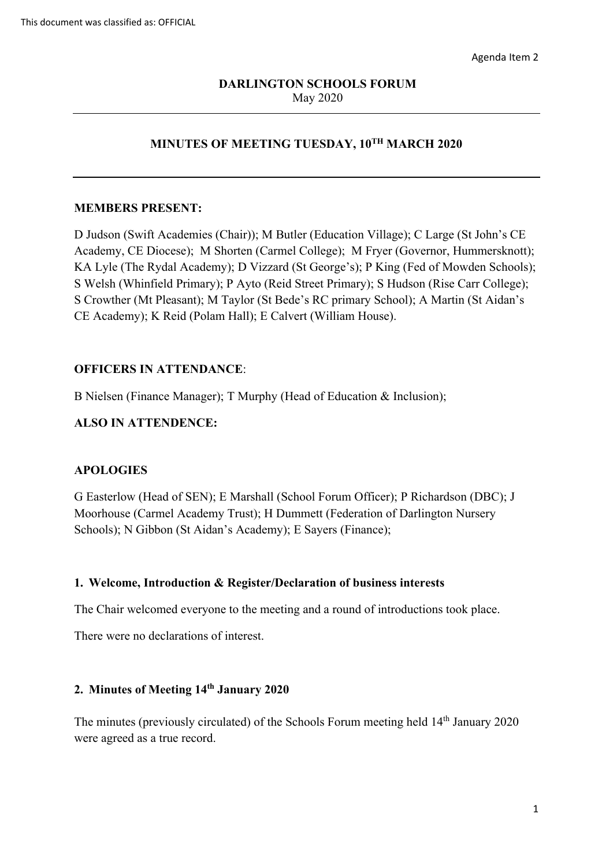## May 2020 **DARLINGTON SCHOOLS FORUM**

## **MINUTES OF MEETING TUESDAY, 10TH MARCH 2020**

#### **MEMBERS PRESENT:**

 Academy, CE Diocese); M Shorten (Carmel College); M Fryer (Governor, Hummersknott); KA Lyle (The Rydal Academy); D Vizzard (St George's); P King (Fed of Mowden Schools); S Welsh (Whinfield Primary); P Ayto (Reid Street Primary); S Hudson (Rise Carr College); D Judson (Swift Academies (Chair)); M Butler (Education Village); C Large (St John's CE S Crowther (Mt Pleasant); M Taylor (St Bede's RC primary School); A Martin (St Aidan's CE Academy); K Reid (Polam Hall); E Calvert (William House).

#### **OFFICERS IN ATTENDANCE**:

B Nielsen (Finance Manager); T Murphy (Head of Education & Inclusion);

#### **ALSO IN ATTENDENCE:**

## **APOLOGIES**

 Schools); N Gibbon (St Aidan's Academy); E Sayers (Finance); G Easterlow (Head of SEN); E Marshall (School Forum Officer); P Richardson (DBC); J Moorhouse (Carmel Academy Trust); H Dummett (Federation of Darlington Nursery

## **1. Welcome, Introduction & Register/Declaration of business interests**

The Chair welcomed everyone to the meeting and a round of introductions took place.

There were no declarations of interest.

#### **2. Minutes of Meeting 14th January 2020**

The minutes (previously circulated) of the Schools Forum meeting held 14<sup>th</sup> January 2020 were agreed as a true record.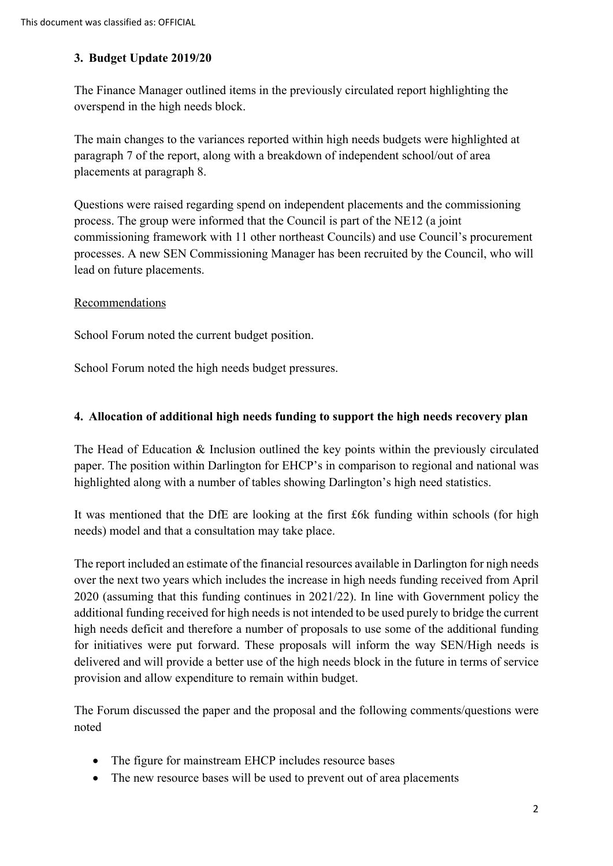## **3. Budget Update 2019/20**

The Finance Manager outlined items in the previously circulated report highlighting the overspend in the high needs block.

 paragraph 7 of the report, along with a breakdown of independent school/out of area The main changes to the variances reported within high needs budgets were highlighted at placements at paragraph 8.

lead on future placements.<br>Recommendations Questions were raised regarding spend on independent placements and the commissioning process. The group were informed that the Council is part of the NE12 (a joint commissioning framework with 11 other northeast Councils) and use Council's procurement processes. A new SEN Commissioning Manager has been recruited by the Council, who will

School Forum noted the current budget position.

School Forum noted the high needs budget pressures.

## **4. Allocation of additional high needs funding to support the high needs recovery plan**

The Head of Education & Inclusion outlined the key points within the previously circulated paper. The position within Darlington for EHCP's in comparison to regional and national was highlighted along with a number of tables showing Darlington's high need statistics.

 It was mentioned that the DfE are looking at the first £6k funding within schools (for high needs) model and that a consultation may take place.

 additional funding received for high needs is not intended to be used purely to bridge the current for initiatives were put forward. These proposals will inform the way SEN/High needs is The report included an estimate of the financial resources available in Darlington for nigh needs over the next two years which includes the increase in high needs funding received from April 2020 (assuming that this funding continues in 2021/22). In line with Government policy the high needs deficit and therefore a number of proposals to use some of the additional funding delivered and will provide a better use of the high needs block in the future in terms of service provision and allow expenditure to remain within budget.

The Forum discussed the paper and the proposal and the following comments/questions were noted

- The figure for mainstream EHCP includes resource bases
- The new resource bases will be used to prevent out of area placements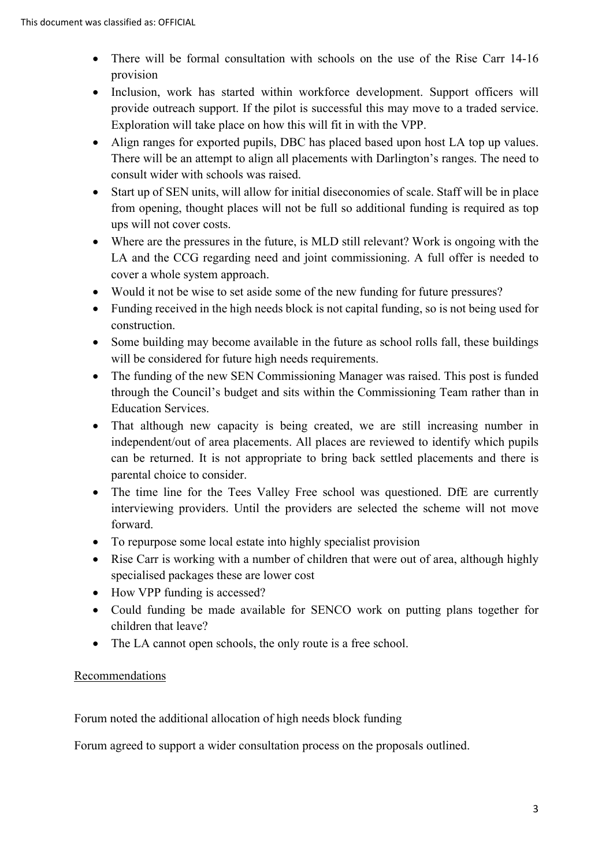- There will be formal consultation with schools on the use of the Rise Carr 14-16 provision
- provide outreach support. If the pilot is successful this may move to a traded service. • Inclusion, work has started within workforce development. Support officers will Exploration will take place on how this will fit in with the VPP.
- Align ranges for exported pupils, DBC has placed based upon host LA top up values. There will be an attempt to align all placements with Darlington's ranges. The need to consult wider with schools was raised.
- ups will not cover costs. • Start up of SEN units, will allow for initial diseconomies of scale. Staff will be in place from opening, thought places will not be full so additional funding is required as top
- • Where are the pressures in the future, is MLD still relevant? Work is ongoing with the LA and the CCG regarding need and joint commissioning. A full offer is needed to cover a whole system approach.
- Would it not be wise to set aside some of the new funding for future pressures?
- Funding received in the high needs block is not capital funding, so is not being used for construction.
- Some building may become available in the future as school rolls fall, these buildings will be considered for future high needs requirements.
- through the Council's budget and sits within the Commissioning Team rather than in • The funding of the new SEN Commissioning Manager was raised. This post is funded Education Services.
- parental choice to consider. • That although new capacity is being created, we are still increasing number in independent/out of area placements. All places are reviewed to identify which pupils can be returned. It is not appropriate to bring back settled placements and there is
- The time line for the Tees Valley Free school was questioned. DfE are currently interviewing providers. Until the providers are selected the scheme will not move forward.
- To repurpose some local estate into highly specialist provision
- Rise Carr is working with a number of children that were out of area, although highly specialised packages these are lower cost
- How VPP funding is accessed?
- • Could funding be made available for SENCO work on putting plans together for children that leave?
- The LA cannot open schools, the only route is a free school.

## **Recommendations**

Forum noted the additional allocation of high needs block funding

Forum agreed to support a wider consultation process on the proposals outlined.